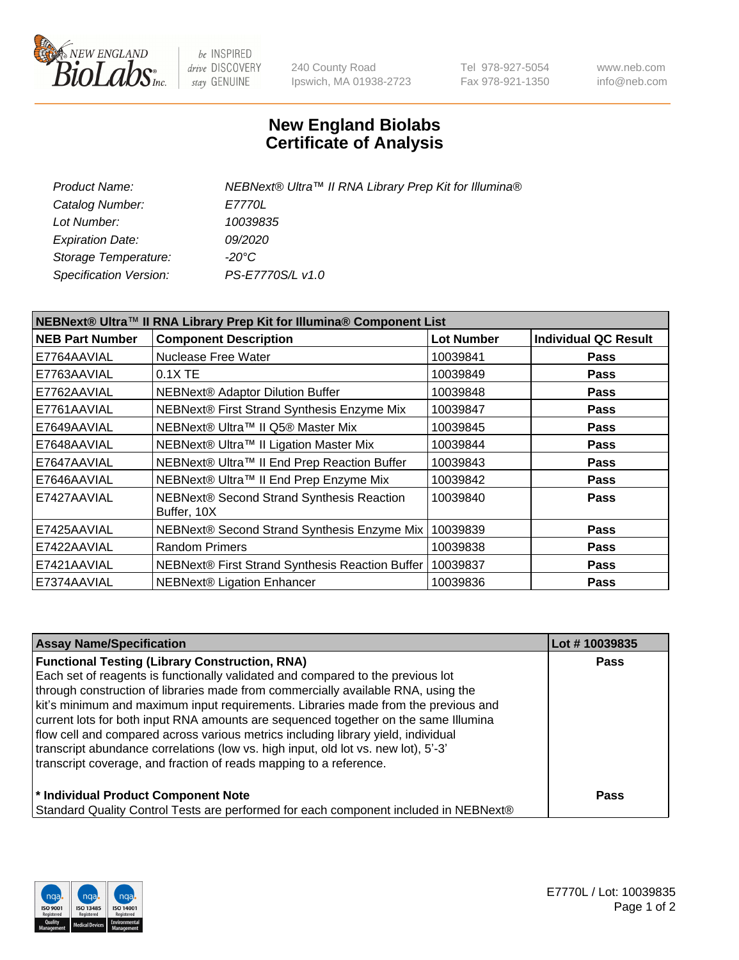

be INSPIRED drive DISCOVERY stay GENUINE

240 County Road Ipswich, MA 01938-2723 Tel 978-927-5054 Fax 978-921-1350 www.neb.com info@neb.com

## **New England Biolabs Certificate of Analysis**

| Product Name:           | NEBNext® Ultra™ II RNA Library Prep Kit for Illumina® |
|-------------------------|-------------------------------------------------------|
| Catalog Number:         | <i>E7770L</i>                                         |
| Lot Number:             | 10039835                                              |
| <b>Expiration Date:</b> | <i>09/2020</i>                                        |
| Storage Temperature:    | -20°C                                                 |
| Specification Version:  | PS-E7770S/L v1.0                                      |
|                         |                                                       |

| NEBNext® Ultra™ II RNA Library Prep Kit for Illumina® Component List |                                                          |                   |                             |  |  |
|----------------------------------------------------------------------|----------------------------------------------------------|-------------------|-----------------------------|--|--|
| <b>NEB Part Number</b>                                               | <b>Component Description</b>                             | <b>Lot Number</b> | <b>Individual QC Result</b> |  |  |
| E7764AAVIAL                                                          | Nuclease Free Water                                      | 10039841          | <b>Pass</b>                 |  |  |
| E7763AAVIAL                                                          | $0.1X$ TE                                                | 10039849          | <b>Pass</b>                 |  |  |
| E7762AAVIAL                                                          | <b>NEBNext® Adaptor Dilution Buffer</b>                  | 10039848          | <b>Pass</b>                 |  |  |
| E7761AAVIAL                                                          | NEBNext® First Strand Synthesis Enzyme Mix               | 10039847          | Pass                        |  |  |
| E7649AAVIAL                                                          | NEBNext® Ultra™ II Q5® Master Mix                        | 10039845          | <b>Pass</b>                 |  |  |
| E7648AAVIAL                                                          | NEBNext® Ultra™ II Ligation Master Mix                   | 10039844          | <b>Pass</b>                 |  |  |
| E7647AAVIAL                                                          | NEBNext® Ultra™ II End Prep Reaction Buffer              | 10039843          | <b>Pass</b>                 |  |  |
| E7646AAVIAL                                                          | NEBNext® Ultra™ II End Prep Enzyme Mix                   | 10039842          | <b>Pass</b>                 |  |  |
| E7427AAVIAL                                                          | NEBNext® Second Strand Synthesis Reaction<br>Buffer, 10X | 10039840          | <b>Pass</b>                 |  |  |
| E7425AAVIAL                                                          | NEBNext® Second Strand Synthesis Enzyme Mix              | 10039839          | <b>Pass</b>                 |  |  |
| E7422AAVIAL                                                          | <b>Random Primers</b>                                    | 10039838          | <b>Pass</b>                 |  |  |
| E7421AAVIAL                                                          | NEBNext® First Strand Synthesis Reaction Buffer          | 10039837          | <b>Pass</b>                 |  |  |
| E7374AAVIAL                                                          | NEBNext® Ligation Enhancer                               | 10039836          | <b>Pass</b>                 |  |  |

| <b>Assay Name/Specification</b>                                                      | Lot #10039835 |
|--------------------------------------------------------------------------------------|---------------|
| <b>Functional Testing (Library Construction, RNA)</b>                                | <b>Pass</b>   |
| Each set of reagents is functionally validated and compared to the previous lot      |               |
| through construction of libraries made from commercially available RNA, using the    |               |
| kit's minimum and maximum input requirements. Libraries made from the previous and   |               |
| current lots for both input RNA amounts are sequenced together on the same Illumina  |               |
| flow cell and compared across various metrics including library yield, individual    |               |
| transcript abundance correlations (low vs. high input, old lot vs. new lot), 5'-3'   |               |
| transcript coverage, and fraction of reads mapping to a reference.                   |               |
| * Individual Product Component Note                                                  | <b>Pass</b>   |
| Standard Quality Control Tests are performed for each component included in NEBNext® |               |